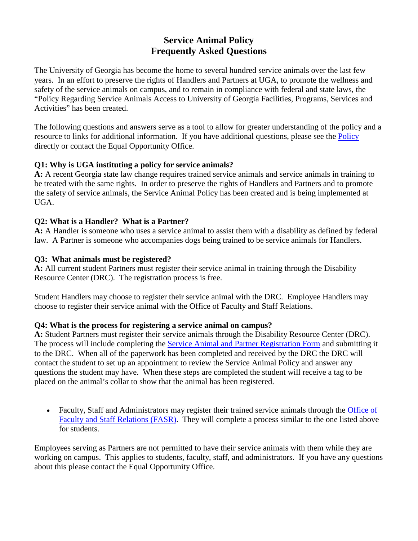# **Service Animal Policy Frequently Asked Questions**

The University of Georgia has become the home to several hundred service animals over the last few years. In an effort to preserve the rights of Handlers and Partners at UGA, to promote the wellness and safety of the service animals on campus, and to remain in compliance with federal and state laws, the "Policy Regarding Service Animals Access to University of Georgia Facilities, Programs, Services and Activities" has been created.

The following questions and answers serve as a tool to allow for greater understanding of the policy and a resource to links for additional information. If you have additional questions, please see the [Policy](http://uga.edu/eoo/policies/pdfs/ServiceAnimalPolicy.pdf) directly or contact the Equal Opportunity Office.

#### **Q1: Why is UGA instituting a policy for service animals?**

**A:** A recent Georgia state law change requires trained service animals and service animals in training to be treated with the same rights. In order to preserve the rights of Handlers and Partners and to promote the safety of service animals, the Service Animal Policy has been created and is being implemented at UGA.

### **Q2: What is a Handler? What is a Partner?**

**A:** A Handler is someone who uses a service animal to assist them with a disability as defined by federal law. A Partner is someone who accompanies dogs being trained to be service animals for Handlers.

### **Q3: What animals must be registered?**

**A:** All current student Partners must register their service animal in training through the Disability Resource Center (DRC). The registration process is free.

Student Handlers may choose to register their service animal with the DRC. Employee Handlers may choose to register their service animal with the Office of Faculty and Staff Relations.

#### **Q4: What is the process for registering a service animal on campus?**

**A:** Student Partners must register their service animals through the Disability Resource Center (DRC). The process will include completing the [Service Animal and Partner Registration Form](https://drc.uga.edu/connect/service-animal-registration/registering-service-animals-training) and submitting it to the DRC. When all of the paperwork has been completed and received by the DRC the DRC will contact the student to set up an appointment to review the Service Animal Policy and answer any questions the student may have. When these steps are completed the student will receive a tag to be placed on the animal's collar to show that the animal has been registered.

• Faculty, Staff and Administrators may register their trained service animals through the Office of [Faculty and Staff Relations \(FASR\).](http://www.hr.uga.edu/disability-services-accommodations) They will complete a process similar to the one listed above for students.

Employees serving as Partners are not permitted to have their service animals with them while they are working on campus. This applies to students, faculty, staff, and administrators. If you have any questions about this please contact the Equal Opportunity Office.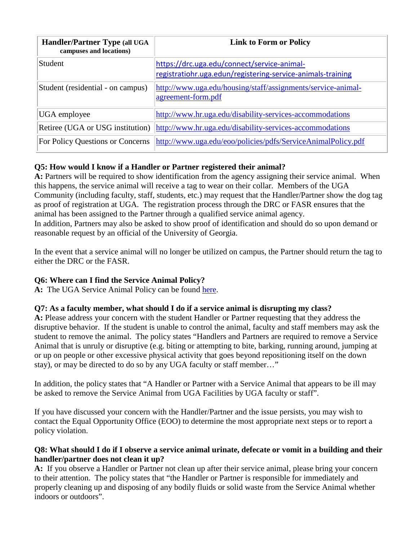| <b>Handler/Partner Type (all UGA</b><br>campuses and locations) | <b>Link to Form or Policy</b>                                                                              |
|-----------------------------------------------------------------|------------------------------------------------------------------------------------------------------------|
| Student                                                         | https://drc.uga.edu/connect/service-animal-<br>registratiohr.uga.edun/registering-service-animals-training |
| Student (residential - on campus)                               | http://www.uga.edu/housing/staff/assignments/service-animal-<br>agreement-form.pdf                         |
| UGA employee                                                    | http://www.hr.uga.edu/disability-services-accommodations                                                   |
| Retiree (UGA or USG institution)                                | http://www.hr.uga.edu/disability-services-accommodations                                                   |
| For Policy Questions or Concerns                                | http://www.uga.edu/eoo/policies/pdfs/ServiceAnimalPolicy.pdf                                               |

## **Q5: How would I know if a Handler or Partner registered their animal?**

A: Partners will be required to show identification from the agency assigning their service animal. When this happens, the service animal will receive a tag to wear on their collar. Members of the UGA Community (including faculty, staff, students, etc.) may request that the Handler/Partner show the dog tag as proof of registration at UGA. The registration process through the DRC or FASR ensures that the animal has been assigned to the Partner through a qualified service animal agency. In addition, Partners may also be asked to show proof of identification and should do so upon demand or reasonable request by an official of the University of Georgia.

In the event that a service animal will no longer be utilized on campus, the Partner should return the tag to either the DRC or the FASR.

## **Q6: Where can I find the Service Animal Policy?**

**A:** The UGA Service Animal Policy can be found [here.](http://www.uga.edu/eoo/policies/pdfs/ServiceAnimalPolicy.pdf)

## **Q7: As a faculty member, what should I do if a service animal is disrupting my class?**

**A:** Please address your concern with the student Handler or Partner requesting that they address the disruptive behavior. If the student is unable to control the animal, faculty and staff members may ask the student to remove the animal. The policy states "Handlers and Partners are required to remove a Service Animal that is unruly or disruptive (e.g. biting or attempting to bite, barking, running around, jumping at or up on people or other excessive physical activity that goes beyond repositioning itself on the down stay), or may be directed to do so by any UGA faculty or staff member…"

In addition, the policy states that "A Handler or Partner with a Service Animal that appears to be ill may be asked to remove the Service Animal from UGA Facilities by UGA faculty or staff".

If you have discussed your concern with the Handler/Partner and the issue persists, you may wish to contact the Equal Opportunity Office (EOO) to determine the most appropriate next steps or to report a policy violation.

#### **Q8: What should I do if I observe a service animal urinate, defecate or vomit in a building and their handler/partner does not clean it up?**

**A:** If you observe a Handler or Partner not clean up after their service animal, please bring your concern to their attention. The policy states that "the Handler or Partner is responsible for immediately and properly cleaning up and disposing of any bodily fluids or solid waste from the Service Animal whether indoors or outdoors".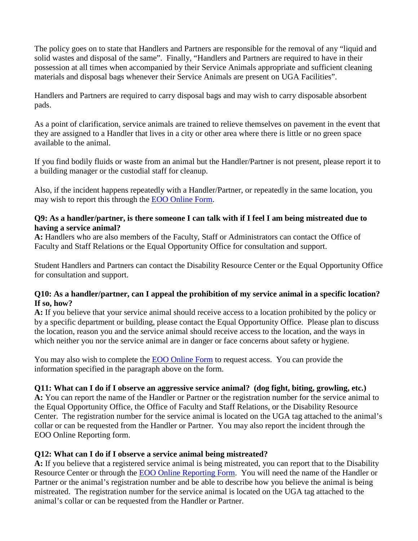The policy goes on to state that Handlers and Partners are responsible for the removal of any "liquid and solid wastes and disposal of the same". Finally, "Handlers and Partners are required to have in their possession at all times when accompanied by their Service Animals appropriate and sufficient cleaning materials and disposal bags whenever their Service Animals are present on UGA Facilities".

Handlers and Partners are required to carry disposal bags and may wish to carry disposable absorbent pads.

As a point of clarification, service animals are trained to relieve themselves on pavement in the event that they are assigned to a Handler that lives in a city or other area where there is little or no green space available to the animal.

If you find bodily fluids or waste from an animal but the Handler/Partner is not present, please report it to a building manager or the custodial staff for cleanup.

Also, if the incident happens repeatedly with a Handler/Partner, or repeatedly in the same location, you may wish to report this through the EOO [Online Form.](http://www.uga.edu/eoo/forms/ServiceAnimalReport&RequestForm.docx)

#### **Q9: As a handler/partner, is there someone I can talk with if I feel I am being mistreated due to having a service animal?**

**A:** Handlers who are also members of the Faculty, Staff or Administrators can contact the Office of Faculty and Staff Relations or the Equal Opportunity Office for consultation and support.

Student Handlers and Partners can contact the Disability Resource Center or the Equal Opportunity Office for consultation and support.

#### **Q10: As a handler/partner, can I appeal the prohibition of my service animal in a specific location? If so, how?**

**A:** If you believe that your service animal should receive access to a location prohibited by the policy or by a specific department or building, please contact the Equal Opportunity Office. Please plan to discuss the location, reason you and the service animal should receive access to the location, and the ways in which neither you nor the service animal are in danger or face concerns about safety or hygiene.

You may also wish to complete the [EOO Online Form](http://www.uga.edu/eoo/forms/ServiceAnimalReport&RequestForm.docx) to request access. You can provide the information specified in the paragraph above on the form.

#### **Q11: What can I do if I observe an aggressive service animal? (dog fight, biting, growling, etc.)**

**A:** You can report the name of the Handler or Partner or the registration number for the service animal to the Equal Opportunity Office, the Office of Faculty and Staff Relations, or the Disability Resource Center. The registration number for the service animal is located on the UGA tag attached to the animal's collar or can be requested from the Handler or Partner. You may also report the incident through the EOO Online Reporting form.

#### **Q12: What can I do if I observe a service animal being mistreated?**

**A:** If you believe that a registered service animal is being mistreated, you can report that to the Disability Resource Center or through the **EOO Online Reporting Form.** You will need the name of the Handler or Partner or the animal's registration number and be able to describe how you believe the animal is being mistreated. The registration number for the service animal is located on the UGA tag attached to the animal's collar or can be requested from the Handler or Partner.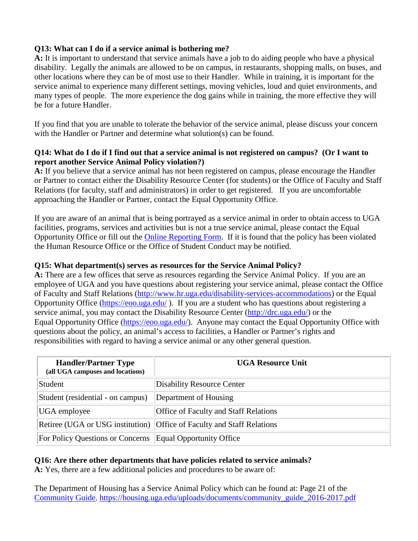## **Q13: What can I do if a service animal is bothering me?**

**A:** It is important to understand that service animals have a job to do aiding people who have a physical disability. Legally the animals are allowed to be on campus, in restaurants, shopping malls, on buses, and other locations where they can be of most use to their Handler. While in training, it is important for the service animal to experience many different settings, moving vehicles, loud and quiet environments, and many types of people. The more experience the dog gains while in training, the more effective they will be for a future Handler.

If you find that you are unable to tolerate the behavior of the service animal, please discuss your concern with the Handler or Partner and determine what solution(s) can be found.

#### **Q14: What do I do if I find out that a service animal is not registered on campus? (Or I want to report another Service Animal Policy violation?)**

**A:** If you believe that a service animal has not been registered on campus, please encourage the Handler or Partner to contact either the Disability Resource Center (for students) or the Office of Faculty and Staff Relations (for faculty, staff and administrators) in order to get registered. If you are uncomfortable approaching the Handler or Partner, contact the Equal Opportunity Office.

If you are aware of an animal that is being portrayed as a service animal in order to obtain access to UGA facilities, programs, services and activities but is not a true service animal, please contact the Equal Opportunity Office or fill out the [Online Reporting Form.](http://www.uga.edu/eoo/forms/ServiceAnimalReport&RequestForm.docx) If it is found that the policy has been violated the Human Resource Office or the Office of Student Conduct may be notified.

#### **Q15: What department(s) serves as resources for the Service Animal Policy?**

**A:** There are a few offices that serve as resources regarding the Service Animal Policy. If you are an employee of UGA and you have questions about registering your service animal, please contact the Office of Faculty and Staff Relations [\(http://www.hr.uga.edu/disability-services-accommodations\)](http://www.hr.uga.edu/disability-services-accommodations) or the Equal Opportunity Office [\(https://eoo.uga.edu/](https://eoo.uga.edu/) ). If you are a student who has questions about registering a service animal, you may contact the Disability Resource Center [\(http://drc.uga.edu/\)](http://drc.uga.edu/) or the Equal Opportunity Office [\(https://eoo.uga.edu/\)](https://eoo.uga.edu/). Anyone may contact the Equal Opportunity Office with questions about the policy, an animal's access to facilities, a Handler or Partner's rights and responsibilities with regard to having a service animal or any other general question.

| <b>Handler/Partner Type</b><br>(all UGA campuses and locations) | <b>UGA Resource Unit</b>                                               |
|-----------------------------------------------------------------|------------------------------------------------------------------------|
| Student                                                         | <b>Disability Resource Center</b>                                      |
| Student (residential - on campus)                               | Department of Housing                                                  |
| UGA employee                                                    | <b>Office of Faculty and Staff Relations</b>                           |
|                                                                 | Retiree (UGA or USG institution) Office of Faculty and Staff Relations |
| For Policy Questions or Concerns   Equal Opportunity Office     |                                                                        |

#### **Q16: Are there other departments that have policies related to service animals?**

**A:** Yes, there are a few additional policies and procedures to be aware of:

The Department of Housing has a Service Animal Policy which can be found at: Page 21 of the [Community Guide. https://housing.uga.edu/uploads/documents/community\\_guide\\_2016-2017.pdf](https://housing.uga.edu/uploads/documents/community_guide_2016-2017.pdf)